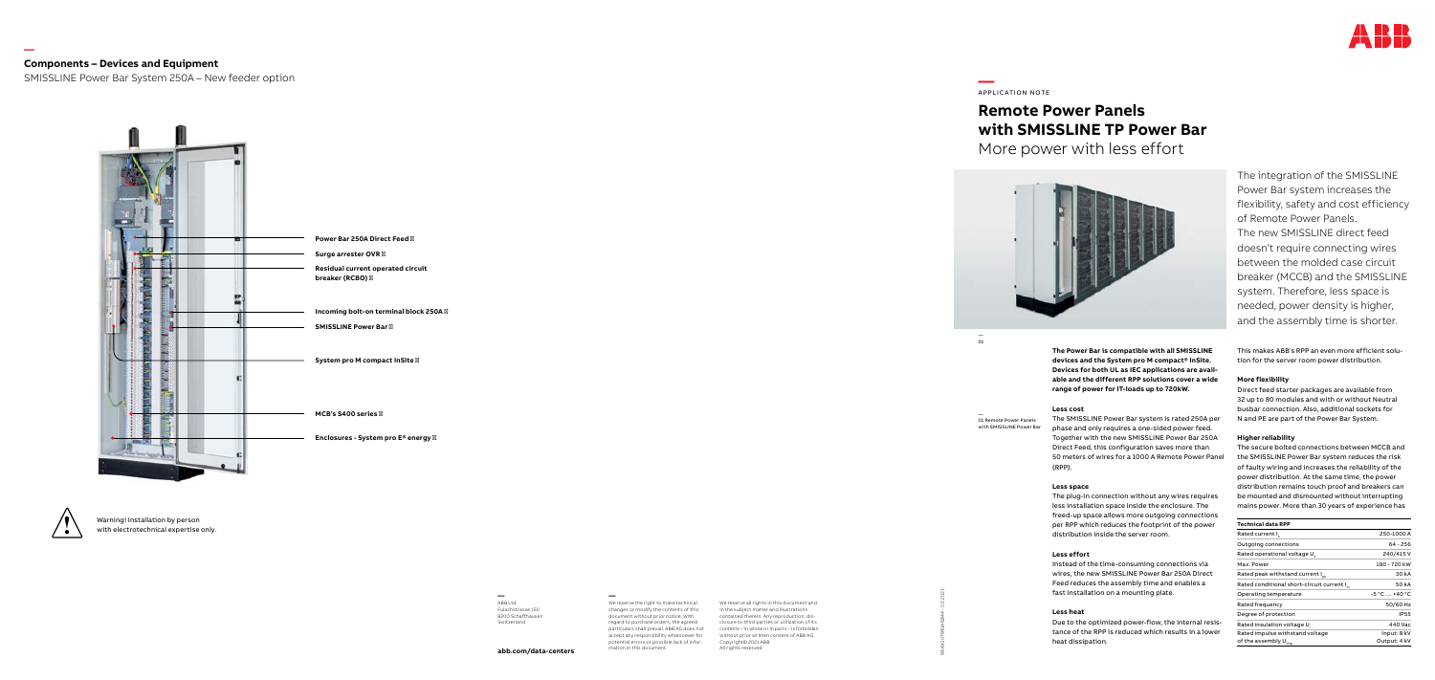9AKK107991A6844 - 02.2021

**—** We reserve the right to make technical changes or modify the contents of this document without prior notice. With regard to purchase orders, the agreed particulars shall prevail. ABB AG does not accept any responsibility whatsoever for potential errors or possible lack of infor mation in this document.

We reserve all rights in this document and in the subject matter and illustrations contained therein. Any reproduction, dis closure to third parties or utilization of its contents – in whole or in parts – is forbidde without prior written consent of ABB AG. Copyright© 2021 ABB All rights reserved

**—** ABB Ltd. Fulachstrasse 150 8200 Schaffhausen Switzerland

**abb.com/data-centers**

# **—**  APPLICATION NOTE

# **Remote Power Panels with SMISSLINE TP Power Bar** More power with less effort



 $\overline{01}$ 

The integration of the SMISSLINE Power Bar system increases the flexibility, safety and cost efficiency of Remote Power Panels. The new SMISSLINE direct feed doesn't require connecting wires between the molded case circuit breaker (MCCB) and the SMISSLINE system. Therefore, less space is needed, power density is higher, and the assembly time is shorter.

**The Power Bar is compatible with all SMISSLINE devices and the System pro M compact® InSite. Devices for both UL as IEC applications are avail able and the different RPP solutions cover a wide range of power for IT-loads up to 720kW.**

#### **Less cost**

The SMISSLINE Power Bar system is rated 250A per phase and only requires a one-sided power feed. Together with the new SMISSLINE Power Bar 250A Direct Feed, this configuration saves more than 50 meters of wires for a 1000 A Remote Power Panel (RPP).

— 01 Remote Power Panels —<br>01<br>O1 Remote Power Panels<br>with SMISSLINE Power Bar

#### **Less space**

The plug-in connection without any wires requires less installation space inside the enclosure. The freed-up space allows more outgoing connections per RPP which reduces the footprint of the power distribution inside the server room.

#### **Less effort**

Instead of the time-consuming connections via wires, the new SMISSLINE Power Bar 250A Direct Feed reduces the assembly time and enables a fast installation on a mounting plate.

#### **Less heat**

Due to the optimized power-flow, the internal resis tance of the RPP is reduced which results in a lower heat dissipation.

This makes ABB's RPP an even more efficient solu tion for the server room power distribution.

#### **More flexibility**

Direct feed starter packages are available from 32 up to 80 modules and with or without Neutral busbar connection. Also, additional sockets for N and PE are part of the Power Bar System.

#### **Higher reliability**

The secure bolted connections between MCCB and the SMISSLINE Power Bar system reduces the risk of faulty wiring and increases the reliability of the power distribution. At the same time, the power distribution remains touch proof and breakers can be mounted and dismounted without interrupting mains power. More than 30 years of experience has

| Technical data RPP                                      |                |  |  |
|---------------------------------------------------------|----------------|--|--|
| Rated current I                                         | 250-1000 A     |  |  |
| Outgoing connections                                    | 64 - 256       |  |  |
| Rated operational voltage U                             | 240/415V       |  |  |
| Max. Power                                              | 180 - 720 kW   |  |  |
| Rated peak withstand current I <sub>pk</sub>            | 30 kA          |  |  |
| Rated conditional short-circuit current I <sub>cc</sub> | 50 k A         |  |  |
| Operating temperature                                   | $-5 °C$ +40 °C |  |  |
| Rated frequency                                         | 50/60 Hz       |  |  |
| Degree of protection                                    | <b>IP55</b>    |  |  |
| Rated insulation voltage U.                             | 440 Vac        |  |  |
| Rated impulse withstand voltage                         | Input: 8 kV    |  |  |
| of the assembly U <sub>imp</sub>                        | Output: 4 kV   |  |  |

**—**

## **Components – Devices and Equipment**

SMISSLINE Power Bar System 250A – New feeder option





Warning! Installation by person **!** with electrotechnical expertise only.